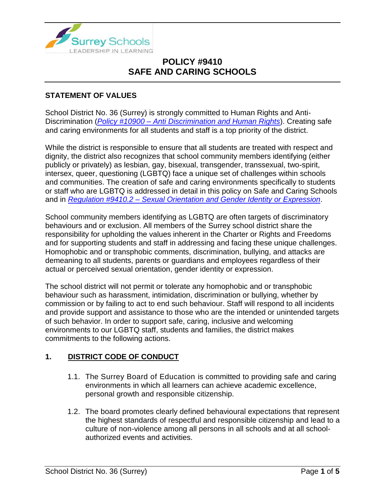

### **STATEMENT OF VALUES**

School District No. 36 (Surrey) is strongly committed to Human Rights and Anti-Discrimination (*Policy #10900 – [Anti Discrimination and Human Rights](https://www.surreyschools.ca/departments/SECT/PoliciesRegulations/section_10000/Documents/10900%20Policy.pdf)*). Creating safe and caring environments for all students and staff is a top priority of the district.

While the district is responsible to ensure that all students are treated with respect and dignity, the district also recognizes that school community members identifying (either publicly or privately) as lesbian, gay, bisexual, transgender, transsexual, two-spirit, intersex, queer, questioning (LGBTQ) face a unique set of challenges within schools and communities. The creation of safe and caring environments specifically to students or staff who are LGBTQ is addressed in detail in this policy on Safe and Caring Schools and in *Regulation #9410.2 – [Sexual Orientation and Gender Identity](https://www.surreyschools.ca/departments/SECT/PoliciesRegulations/section_9000/Documents/9410.2%20Regulation.pdf) or Expression*.

School community members identifying as LGBTQ are often targets of discriminatory behaviours and or exclusion. All members of the Surrey school district share the responsibility for upholding the values inherent in the Charter or Rights and Freedoms and for supporting students and staff in addressing and facing these unique challenges. Homophobic and or transphobic comments, discrimination, bullying, and attacks are demeaning to all students, parents or guardians and employees regardless of their actual or perceived sexual orientation, gender identity or expression.

The school district will not permit or tolerate any homophobic and or transphobic behaviour such as harassment, intimidation, discrimination or bullying, whether by commission or by failing to act to end such behaviour. Staff will respond to all incidents and provide support and assistance to those who are the intended or unintended targets of such behavior. In order to support safe, caring, inclusive and welcoming environments to our LGBTQ staff, students and families, the district makes commitments to the following actions.

### **1. DISTRICT CODE OF CONDUCT**

- 1.1. The Surrey Board of Education is committed to providing safe and caring environments in which all learners can achieve academic excellence, personal growth and responsible citizenship.
- 1.2. The board promotes clearly defined behavioural expectations that represent the highest standards of respectful and responsible citizenship and lead to a culture of non-violence among all persons in all schools and at all schoolauthorized events and activities.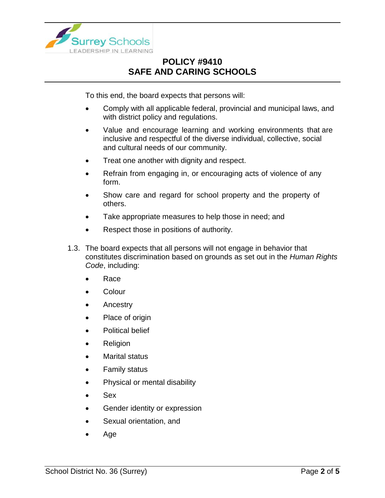

To this end, the board expects that persons will:

- Comply with all applicable federal, provincial and municipal laws, and with district policy and regulations.
- Value and encourage learning and working environments that are inclusive and respectful of the diverse individual, collective, social and cultural needs of our community.
- Treat one another with dignity and respect.
- Refrain from engaging in, or encouraging acts of violence of any form.
- Show care and regard for school property and the property of others.
- Take appropriate measures to help those in need; and
- Respect those in positions of authority.
- 1.3. The board expects that all persons will not engage in behavior that constitutes discrimination based on grounds as set out in the *Human Rights Code*, including:
	- Race
	- Colour
	- Ancestry
	- Place of origin
	- Political belief
	- Religion
	- Marital status
	- Family status
	- Physical or mental disability
	- Sex
	- Gender identity or expression
	- Sexual orientation, and
	- Age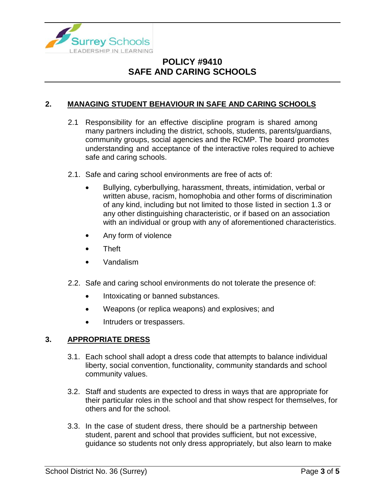

### **2. MANAGING STUDENT BEHAVIOUR IN SAFE AND CARING SCHOOLS**

- 2.1 Responsibility for an effective discipline program is shared among many partners including the district, schools, students, parents/guardians, community groups, social agencies and the RCMP. The board promotes understanding and acceptance of the interactive roles required to achieve safe and caring schools.
- 2.1. Safe and caring school environments are free of acts of:
	- Bullying, cyberbullying, harassment, threats, intimidation, verbal or written abuse, racism, homophobia and other forms of discrimination of any kind, including but not limited to those listed in section 1.3 or any other distinguishing characteristic, or if based on an association with an individual or group with any of aforementioned characteristics.
	- Any form of violence
	- Theft
	- Vandalism
- 2.2. Safe and caring school environments do not tolerate the presence of:
	- Intoxicating or banned substances.
	- Weapons (or replica weapons) and explosives; and
	- Intruders or trespassers.

#### **3. APPROPRIATE DRESS**

- 3.1. Each school shall adopt a dress code that attempts to balance individual liberty, social convention, functionality, community standards and school community values.
- 3.2. Staff and students are expected to dress in ways that are appropriate for their particular roles in the school and that show respect for themselves, for others and for the school.
- 3.3. In the case of student dress, there should be a partnership between student, parent and school that provides sufficient, but not excessive, guidance so students not only dress appropriately, but also learn to make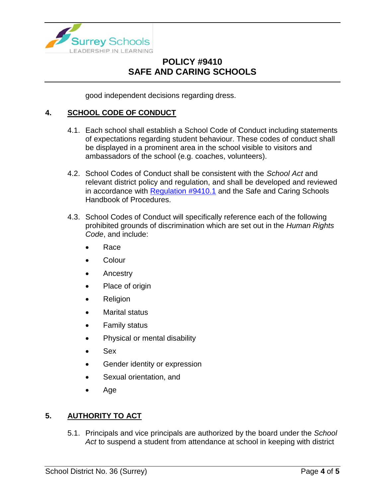

good independent decisions regarding dress.

### **4. SCHOOL CODE OF CONDUCT**

- 4.1. Each school shall establish a School Code of Conduct including statements of expectations regarding student behaviour. These codes of conduct shall be displayed in a prominent area in the school visible to visitors and ambassadors of the school (e.g. coaches, volunteers).
- 4.2. School Codes of Conduct shall be consistent with the *School Act* and relevant district policy and regulation, and shall be developed and reviewed in accordance with [Regulation](https://www.surreyschools.ca/departments/SECT/PoliciesRegulations/section_9000/Documents/9410.1%20Regulation.pdf) #9410.1 and the Safe and Caring Schools Handbook of Procedures.
- 4.3. School Codes of Conduct will specifically reference each of the following prohibited grounds of discrimination which are set out in the *Human Rights Code*, and include:
	- Race
	- Colour
	- Ancestry
	- Place of origin
	- Religion
	- Marital status
	- Family status
	- Physical or mental disability
	- Sex
	- Gender identity or expression
	- Sexual orientation, and
	- Age

### **5. AUTHORITY TO ACT**

5.1. Principals and vice principals are authorized by the board under the *School Act* to suspend a student from attendance at school in keeping with district